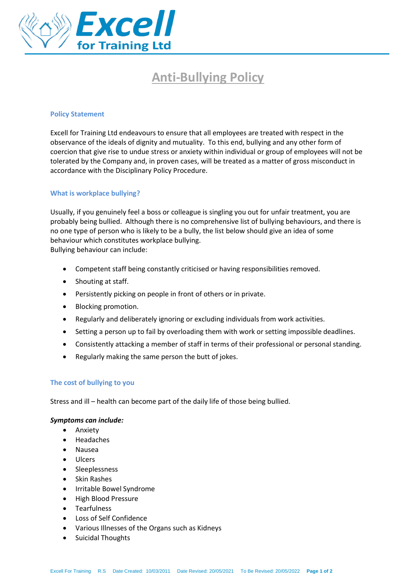

# **Anti-Bullying Policy**

#### **Policy Statement**

Excell for Training Ltd endeavours to ensure that all employees are treated with respect in the observance of the ideals of dignity and mutuality. To this end, bullying and any other form of coercion that give rise to undue stress or anxiety within individual or group of employees will not be tolerated by the Company and, in proven cases, will be treated as a matter of gross misconduct in accordance with the Disciplinary Policy Procedure.

#### **What is workplace bullying?**

Usually, if you genuinely feel a boss or colleague is singling you out for unfair treatment, you are probably being bullied. Although there is no comprehensive list of bullying behaviours, and there is no one type of person who is likely to be a bully, the list below should give an idea of some behaviour which constitutes workplace bullying.

Bullying behaviour can include:

- Competent staff being constantly criticised or having responsibilities removed.
- Shouting at staff.
- Persistently picking on people in front of others or in private.
- Blocking promotion.
- Regularly and deliberately ignoring or excluding individuals from work activities.
- Setting a person up to fail by overloading them with work or setting impossible deadlines.
- Consistently attacking a member of staff in terms of their professional or personal standing.
- Regularly making the same person the butt of jokes.

#### **The cost of bullying to you**

Stress and ill – health can become part of the daily life of those being bullied.

# *Symptoms can include:*

- Anxiety
- Headaches
- Nausea
- Ulcers
- Sleeplessness
- Skin Rashes
- Irritable Bowel Syndrome
- High Blood Pressure
- Tearfulness
- Loss of Self Confidence
- Various Illnesses of the Organs such as Kidneys
- Suicidal Thoughts